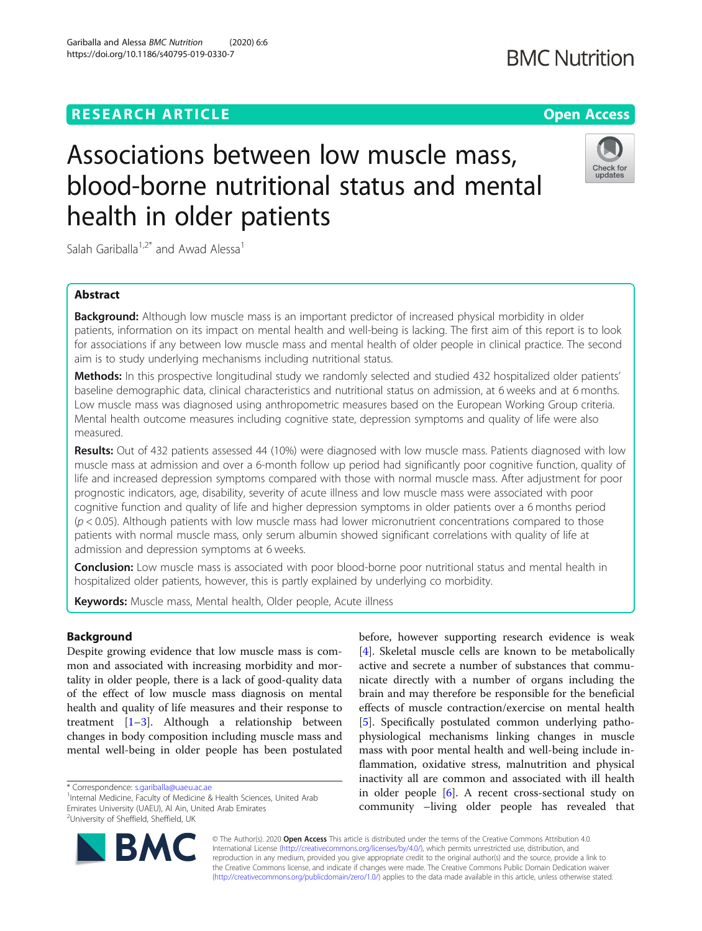# **RESEARCH ARTICLE Example 2014 12:30 The Contract of Contract ACCESS**

# Associations between low muscle mass, blood-borne nutritional status and mental health in older patients

Salah Gariballa<sup>1,2\*</sup> and Awad Alessa<sup>1</sup>

# Abstract

**Background:** Although low muscle mass is an important predictor of increased physical morbidity in older patients, information on its impact on mental health and well-being is lacking. The first aim of this report is to look for associations if any between low muscle mass and mental health of older people in clinical practice. The second aim is to study underlying mechanisms including nutritional status.

Methods: In this prospective longitudinal study we randomly selected and studied 432 hospitalized older patients' baseline demographic data, clinical characteristics and nutritional status on admission, at 6 weeks and at 6 months. Low muscle mass was diagnosed using anthropometric measures based on the European Working Group criteria. Mental health outcome measures including cognitive state, depression symptoms and quality of life were also measured.

Results: Out of 432 patients assessed 44 (10%) were diagnosed with low muscle mass. Patients diagnosed with low muscle mass at admission and over a 6-month follow up period had significantly poor cognitive function, quality of life and increased depression symptoms compared with those with normal muscle mass. After adjustment for poor prognostic indicators, age, disability, severity of acute illness and low muscle mass were associated with poor cognitive function and quality of life and higher depression symptoms in older patients over a 6 months period  $(p < 0.05)$ . Although patients with low muscle mass had lower micronutrient concentrations compared to those patients with normal muscle mass, only serum albumin showed significant correlations with quality of life at admission and depression symptoms at 6 weeks.

**Conclusion:** Low muscle mass is associated with poor blood-borne poor nutritional status and mental health in hospitalized older patients, however, this is partly explained by underlying co morbidity.

Keywords: Muscle mass, Mental health, Older people, Acute illness

# Background

Despite growing evidence that low muscle mass is common and associated with increasing morbidity and mortality in older people, there is a lack of good-quality data of the effect of low muscle mass diagnosis on mental health and quality of life measures and their response to treatment  $[1-3]$  $[1-3]$  $[1-3]$  $[1-3]$ . Although a relationship between changes in body composition including muscle mass and mental well-being in older people has been postulated

\* Correspondence: [s.gariballa@uaeu.ac.ae](mailto:s.gariballa@uaeu.ac.ae) <sup>1</sup>

<sup>1</sup>Internal Medicine, Faculty of Medicine & Health Sciences, United Arab Emirates University (UAEU), Al Ain, United Arab Emirates <sup>2</sup>University of Sheffield, Sheffield, UK

> © The Author(s). 2020 **Open Access** This article is distributed under the terms of the Creative Commons Attribution 4.0 International License [\(http://creativecommons.org/licenses/by/4.0/](http://creativecommons.org/licenses/by/4.0/)), which permits unrestricted use, distribution, and reproduction in any medium, provided you give appropriate credit to the original author(s) and the source, provide a link to the Creative Commons license, and indicate if changes were made. The Creative Commons Public Domain Dedication waiver [\(http://creativecommons.org/publicdomain/zero/1.0/](http://creativecommons.org/publicdomain/zero/1.0/)) applies to the data made available in this article, unless otherwise stated.

active and secrete a number of substances that communicate directly with a number of organs including the brain and may therefore be responsible for the beneficial effects of muscle contraction/exercise on mental health [[5\]](#page-6-0). Specifically postulated common underlying pathophysiological mechanisms linking changes in muscle mass with poor mental health and well-being include inflammation, oxidative stress, malnutrition and physical inactivity all are common and associated with ill health in older people [[6\]](#page-6-0). A recent cross-sectional study on community –living older people has revealed that

before, however supporting research evidence is weak [[4\]](#page-6-0). Skeletal muscle cells are known to be metabolically

**BMC Nutrition** 





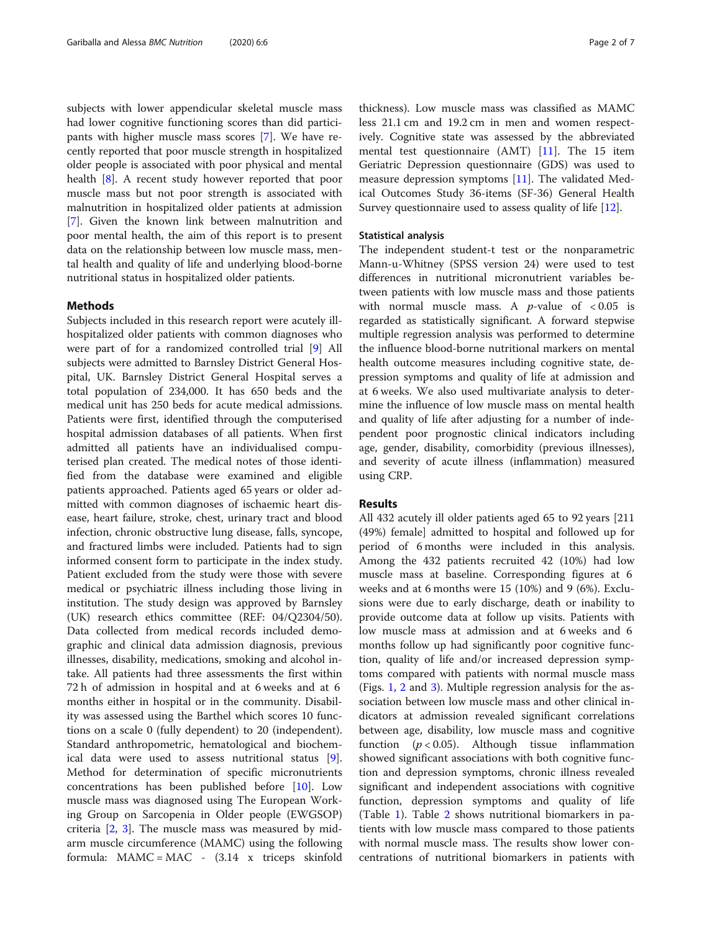subjects with lower appendicular skeletal muscle mass had lower cognitive functioning scores than did participants with higher muscle mass scores [[7\]](#page-6-0). We have recently reported that poor muscle strength in hospitalized older people is associated with poor physical and mental health [[8\]](#page-6-0). A recent study however reported that poor muscle mass but not poor strength is associated with malnutrition in hospitalized older patients at admission [[7\]](#page-6-0). Given the known link between malnutrition and poor mental health, the aim of this report is to present data on the relationship between low muscle mass, mental health and quality of life and underlying blood-borne nutritional status in hospitalized older patients.

# Methods

Subjects included in this research report were acutely illhospitalized older patients with common diagnoses who were part of for a randomized controlled trial [\[9](#page-6-0)] All subjects were admitted to Barnsley District General Hospital, UK. Barnsley District General Hospital serves a total population of 234,000. It has 650 beds and the medical unit has 250 beds for acute medical admissions. Patients were first, identified through the computerised hospital admission databases of all patients. When first admitted all patients have an individualised computerised plan created. The medical notes of those identified from the database were examined and eligible patients approached. Patients aged 65 years or older admitted with common diagnoses of ischaemic heart disease, heart failure, stroke, chest, urinary tract and blood infection, chronic obstructive lung disease, falls, syncope, and fractured limbs were included. Patients had to sign informed consent form to participate in the index study. Patient excluded from the study were those with severe medical or psychiatric illness including those living in institution. The study design was approved by Barnsley (UK) research ethics committee (REF: 04/Q2304/50). Data collected from medical records included demographic and clinical data admission diagnosis, previous illnesses, disability, medications, smoking and alcohol intake. All patients had three assessments the first within 72 h of admission in hospital and at 6 weeks and at 6 months either in hospital or in the community. Disability was assessed using the Barthel which scores 10 functions on a scale 0 (fully dependent) to 20 (independent). Standard anthropometric, hematological and biochemical data were used to assess nutritional status [\[9](#page-6-0)]. Method for determination of specific micronutrients concentrations has been published before [\[10](#page-6-0)]. Low muscle mass was diagnosed using The European Working Group on Sarcopenia in Older people (EWGSOP) criteria [[2,](#page-6-0) [3\]](#page-6-0). The muscle mass was measured by midarm muscle circumference (MAMC) using the following formula: MAMC = MAC - (3.14 x triceps skinfold

thickness). Low muscle mass was classified as MAMC less 21.1 cm and 19.2 cm in men and women respectively. Cognitive state was assessed by the abbreviated mental test questionnaire (AMT) [\[11\]](#page-6-0). The 15 item Geriatric Depression questionnaire (GDS) was used to measure depression symptoms [[11\]](#page-6-0). The validated Medical Outcomes Study 36-items (SF-36) General Health Survey questionnaire used to assess quality of life [[12\]](#page-6-0).

# Statistical analysis

The independent student-t test or the nonparametric Mann-u-Whitney (SPSS version 24) were used to test differences in nutritional micronutrient variables between patients with low muscle mass and those patients with normal muscle mass. A  $p$ -value of  $< 0.05$  is regarded as statistically significant. A forward stepwise multiple regression analysis was performed to determine the influence blood-borne nutritional markers on mental health outcome measures including cognitive state, depression symptoms and quality of life at admission and at 6 weeks. We also used multivariate analysis to determine the influence of low muscle mass on mental health and quality of life after adjusting for a number of independent poor prognostic clinical indicators including age, gender, disability, comorbidity (previous illnesses), and severity of acute illness (inflammation) measured using CRP.

### **Results**

All 432 acutely ill older patients aged 65 to 92 years [211 (49%) female] admitted to hospital and followed up for period of 6 months were included in this analysis. Among the 432 patients recruited 42 (10%) had low muscle mass at baseline. Corresponding figures at 6 weeks and at 6 months were 15 (10%) and 9 (6%). Exclusions were due to early discharge, death or inability to provide outcome data at follow up visits. Patients with low muscle mass at admission and at 6 weeks and 6 months follow up had significantly poor cognitive function, quality of life and/or increased depression symptoms compared with patients with normal muscle mass (Figs. [1](#page-2-0), [2](#page-2-0) and [3\)](#page-3-0). Multiple regression analysis for the association between low muscle mass and other clinical indicators at admission revealed significant correlations between age, disability, low muscle mass and cognitive function ( $p < 0.05$ ). Although tissue inflammation showed significant associations with both cognitive function and depression symptoms, chronic illness revealed significant and independent associations with cognitive function, depression symptoms and quality of life (Table [1](#page-3-0)). Table [2](#page-4-0) shows nutritional biomarkers in patients with low muscle mass compared to those patients with normal muscle mass. The results show lower concentrations of nutritional biomarkers in patients with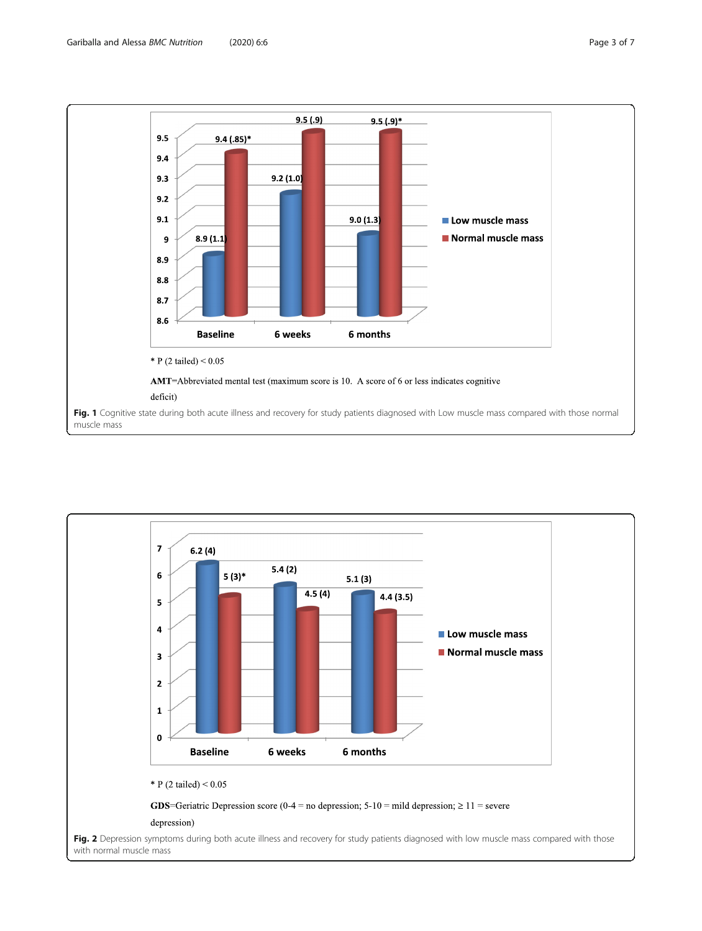<span id="page-2-0"></span>

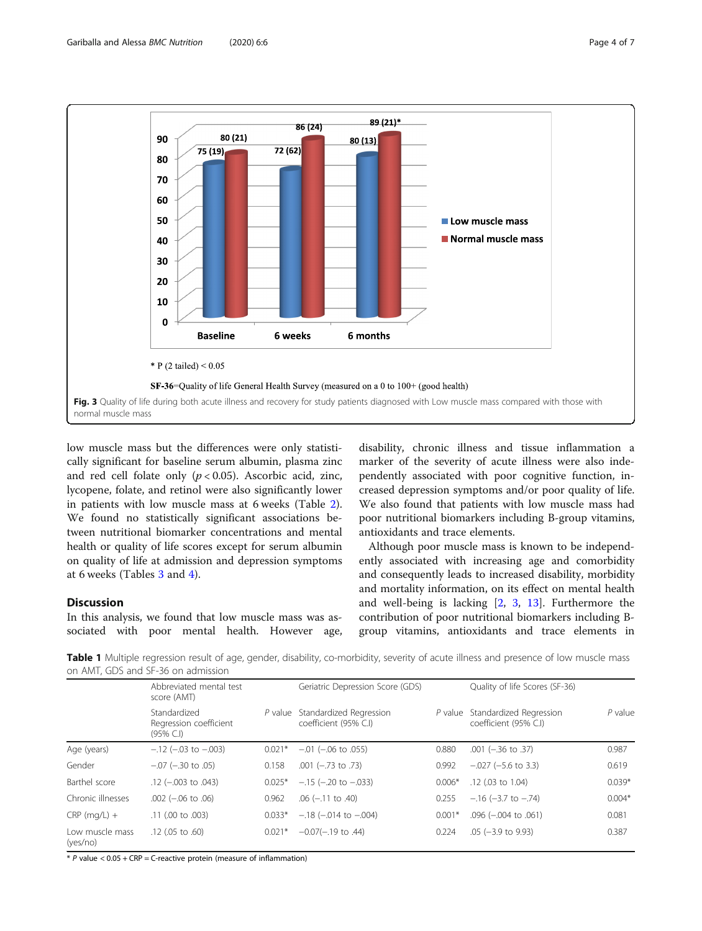<span id="page-3-0"></span>

low muscle mass but the differences were only statistically significant for baseline serum albumin, plasma zinc and red cell folate only  $(p < 0.05)$ . Ascorbic acid, zinc, lycopene, folate, and retinol were also significantly lower in patients with low muscle mass at 6 weeks (Table [2](#page-4-0)). We found no statistically significant associations between nutritional biomarker concentrations and mental health or quality of life scores except for serum albumin on quality of life at admission and depression symptoms at 6 weeks (Tables [3](#page-4-0) and [4\)](#page-5-0).

# **Discussion**

In this analysis, we found that low muscle mass was associated with poor mental health. However age, disability, chronic illness and tissue inflammation a marker of the severity of acute illness were also independently associated with poor cognitive function, increased depression symptoms and/or poor quality of life. We also found that patients with low muscle mass had poor nutritional biomarkers including B-group vitamins, antioxidants and trace elements.

Although poor muscle mass is known to be independently associated with increasing age and comorbidity and consequently leads to increased disability, morbidity and mortality information, on its effect on mental health and well-being is lacking [\[2](#page-6-0), [3,](#page-6-0) [13](#page-6-0)]. Furthermore the contribution of poor nutritional biomarkers including Bgroup vitamins, antioxidants and trace elements in

Table 1 Multiple regression result of age, gender, disability, co-morbidity, severity of acute illness and presence of low muscle mass on AMT, GDS and SF-36 on admission

|                             | Abbreviated mental test<br>score (AMT)              |          | Geriatric Depression Score (GDS)                         |          | Quality of life Scores (SF-36)                           |          |
|-----------------------------|-----------------------------------------------------|----------|----------------------------------------------------------|----------|----------------------------------------------------------|----------|
|                             | Standardized<br>Regression coefficient<br>(95% C.I) |          | P value Standardized Regression<br>coefficient (95% C.I) |          | P value Standardized Regression<br>coefficient (95% C.I) | P value  |
| Age (years)                 | $-.12$ ( $-.03$ to $-.003$ )                        | $0.021*$ | $-.01$ ( $-.06$ to 0.55)                                 | 0.880    | $.001 (-.36 to .37)$                                     | 0.987    |
| Gender                      | $-.07$ ( $-.30$ to $.05$ )                          | 0.158    | $.001 (-.73 to .73)$                                     | 0.992    | $-.027 (-5.6 \text{ to } 3.3)$                           | 0.619    |
| Barthel score               | $.12 (-003$ to $.043)$                              | $0.025*$ | $-.15$ ( $-.20$ to $-.033$ )                             | $0.006*$ | $.12$ (.03 to 1.04)                                      | $0.039*$ |
| Chronic illnesses           | $.002 (-.06 to .06)$                                | 0.962    | $.06$ ( $-.11$ to $.40$ )                                | 0.255    | $-.16 (-3.7 to -.74)$                                    | $0.004*$ |
| $CRP$ (mg/L) +              | .11 (.00 to .003)                                   | $0.033*$ | $-.18$ ( $-.014$ to $-.004$ )                            | $0.001*$ | $.096 (-.004 to .061)$                                   | 0.081    |
| Low muscle mass<br>(yes/no) | $.12$ (.05 to $.60$ )                               | $0.021*$ | $-0.07(-.19)$ to .44)                                    | 0.224    | $.05$ (-3.9 to 9.93)                                     | 0.387    |

 $*$  P value  $<$  0.05 + CRP = C-reactive protein (measure of inflammation)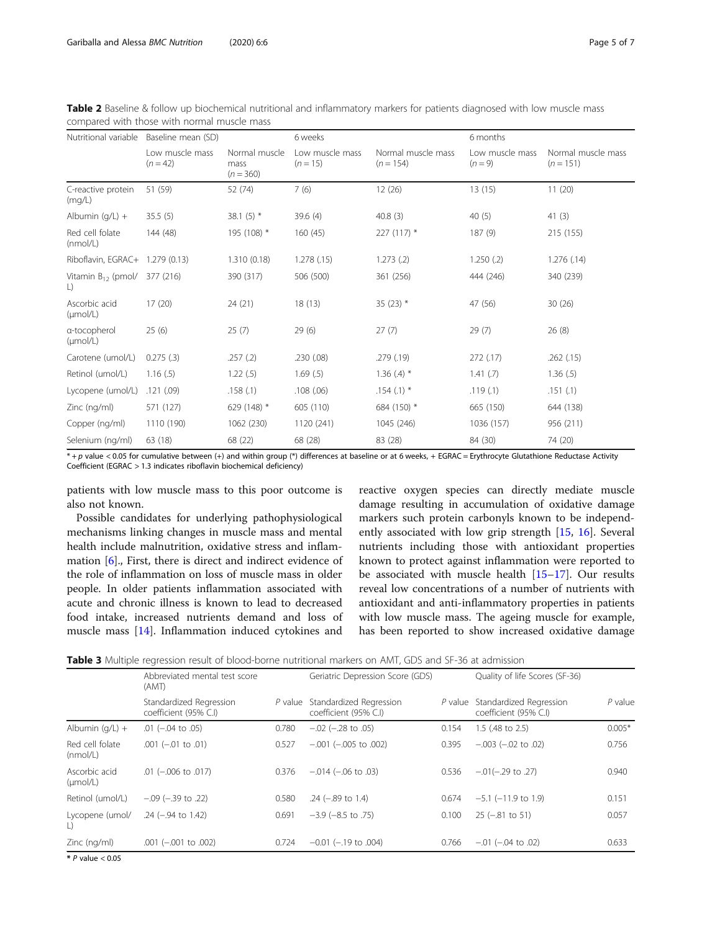| Nutritional variable                 | Baseline mean (SD)            |                                      | 6 weeks                       |                                   | 6 months                     |                                   |
|--------------------------------------|-------------------------------|--------------------------------------|-------------------------------|-----------------------------------|------------------------------|-----------------------------------|
|                                      | Low muscle mass<br>$(n = 42)$ | Normal muscle<br>mass<br>$(n = 360)$ | Low muscle mass<br>$(n = 15)$ | Normal muscle mass<br>$(n = 154)$ | Low muscle mass<br>$(n = 9)$ | Normal muscle mass<br>$(n = 151)$ |
| C-reactive protein<br>(mq/L)         | 51 (59)                       | 52 (74)                              | 7(6)                          | 12(26)                            | 13(15)                       | 11(20)                            |
| Albumin $(q/L) +$                    | 35.5(5)                       | 38.1 $(5)$ *                         | 39.6(4)                       | 40.8(3)                           | 40(5)                        | 41(3)                             |
| Red cell folate<br>(mmol/L)          | 144 (48)                      | 195 (108) *                          | 160(45)                       | $227(117)$ *                      | 187 (9)                      | 215 (155)                         |
| Riboflavin, EGRAC+ 1.279 (0.13)      |                               | 1.310(0.18)                          | 1.278(.15)                    | 1.273(2)                          | 1.250(.2)                    | 1.276(.14)                        |
| Vitamin $B_{12}$ (pmol/<br>L)        | 377 (216)                     | 390 (317)                            | 506 (500)                     | 361 (256)                         | 444 (246)                    | 340 (239)                         |
| Ascorbic acid<br>$(\mu mol/L)$       | 17(20)                        | 24(21)                               | 18(13)                        | 35 $(23)$ *                       | 47 (56)                      | 30(26)                            |
| a-tocopherol<br>$(\mu \text{mol/L})$ | 25(6)                         | 25(7)                                | 29(6)                         | 27(7)                             | 29(7)                        | 26(8)                             |
| Carotene (umol/L)                    | 0.275(.3)                     | .257(.2)                             | .230 (.08)                    | .279(.19)                         | 272 (.17)                    | .262(.15)                         |
| Retinol (umol/L)                     | 1.16(.5)                      | 1.22(.5)                             | 1.69(5)                       | 1.36 $(A)$ *                      | 1.41(.7)                     | 1.36(.5)                          |
| Lycopene (umol/L)                    | .121(.09)                     | .158(.1)                             | .108(.06)                     | $.154(.1)$ *                      | .119(.1)                     | .151(.1)                          |
| Zinc (ng/ml)                         | 571 (127)                     | 629 (148) *                          | 605 (110)                     | 684 (150) *                       | 665 (150)                    | 644 (138)                         |
| Copper (ng/ml)                       | 1110 (190)                    | 1062 (230)                           | 1120 (241)                    | 1045 (246)                        | 1036 (157)                   | 956 (211)                         |
| Selenium (ng/ml)                     | 63 (18)                       | 68 (22)                              | 68 (28)                       | 83 (28)                           | 84 (30)                      | 74 (20)                           |

<span id="page-4-0"></span>Table 2 Baseline & follow up biochemical nutritional and inflammatory markers for patients diagnosed with low muscle mass compared with those with normal muscle mass

\* + p value < 0.05 for cumulative between (+) and within group (\*) differences at baseline or at 6 weeks, + EGRAC = Erythrocyte Glutathione Reductase Activity Coefficient (EGRAC > 1.3 indicates riboflavin biochemical deficiency)

patients with low muscle mass to this poor outcome is also not known.

Possible candidates for underlying pathophysiological mechanisms linking changes in muscle mass and mental health include malnutrition, oxidative stress and inflammation [[6\]](#page-6-0)., First, there is direct and indirect evidence of the role of inflammation on loss of muscle mass in older people. In older patients inflammation associated with acute and chronic illness is known to lead to decreased food intake, increased nutrients demand and loss of muscle mass [\[14\]](#page-6-0). Inflammation induced cytokines and

reactive oxygen species can directly mediate muscle damage resulting in accumulation of oxidative damage markers such protein carbonyls known to be independently associated with low grip strength [[15,](#page-6-0) [16](#page-6-0)]. Several nutrients including those with antioxidant properties known to protect against inflammation were reported to be associated with muscle health [[15](#page-6-0)–[17](#page-6-0)]. Our results reveal low concentrations of a number of nutrients with antioxidant and anti-inflammatory properties in patients with low muscle mass. The ageing muscle for example, has been reported to show increased oxidative damage

| Table 3 Multiple regression result of blood-borne nutritional markers on AMT, GDS and SF-36 at admission |  |
|----------------------------------------------------------------------------------------------------------|--|
|----------------------------------------------------------------------------------------------------------|--|

|                                       | Abbreviated mental test score<br>(AMT)           |       | Geriatric Depression Score (GDS)                         |       | Quality of life Scores (SF-36)                           |           |
|---------------------------------------|--------------------------------------------------|-------|----------------------------------------------------------|-------|----------------------------------------------------------|-----------|
|                                       | Standardized Regression<br>coefficient (95% C.I) |       | P value Standardized Regression<br>coefficient (95% C.I) |       | P value Standardized Regression<br>coefficient (95% C.I) | $P$ value |
| Albumin $(q/L)$ +                     | $.01$ ( $-.04$ to $.05$ )                        | 0.780 | $-.02$ ( $-.28$ to $.05$ )                               | 0.154 | 1.5 (.48 to 2.5)                                         | $0.005*$  |
| Red cell folate<br>(mmol/L)           | $.001 (-0.01)$ to $.01)$                         | 0.527 | $-.001 (-005$ to 002)                                    | 0.395 | $-.003$ $(-.02$ to $.02)$                                | 0.756     |
| Ascorbic acid<br>$(\mu \text{mol/L})$ | $.01 (-.006$ to $.017)$                          | 0.376 | $-.014 (-.06 to .03)$                                    | 0.536 | $-.01(-.29$ to .27)                                      | 0.940     |
| Retinol (umol/L)                      | $-.09$ ( $-.39$ to $.22$ )                       | 0.580 | $.24$ (-.89 to 1.4)                                      | 0.674 | $-5.1$ ( $-11.9$ to 1.9)                                 | 0.151     |
| Lycopene (umol/<br>L)                 | $.24$ (-.94 to 1.42)                             | 0.691 | $-3.9$ ( $-8.5$ to .75)                                  | 0.100 | $25 (-.81 to 51)$                                        | 0.057     |
| Zinc (ng/ml)                          | $.001$ $(-.001$ to $.002)$                       | 0.724 | $-0.01$ ( $-19$ to .004)                                 | 0.766 | $-0.01$ ( $-0.04$ to 0.02)                               | 0.633     |
| $X \cap \ldots \cap \cap \cap$        |                                                  |       |                                                          |       |                                                          |           |

 $*$  P value  $< 0.05$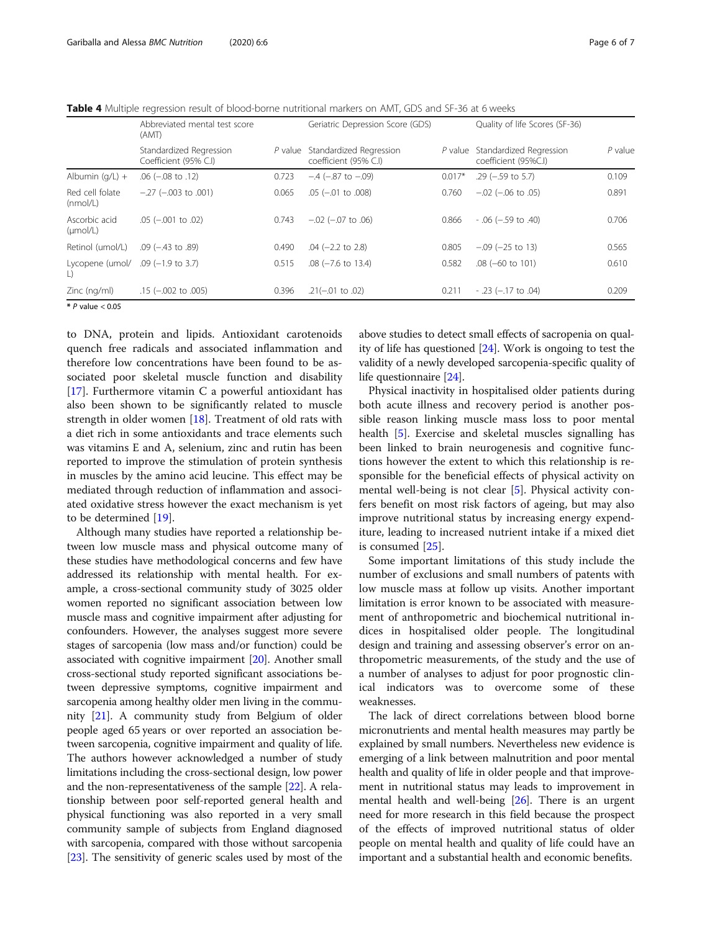<span id="page-5-0"></span>Table 4 Multiple regression result of blood-borne nutritional markers on AMT, GDS and SF-36 at 6 weeks

|                                             | Abbreviated mental test score<br>(AMT)           |         | Geriatric Depression Score (GDS)                 |          | Quality of life Scores (SF-36)                  |           |
|---------------------------------------------|--------------------------------------------------|---------|--------------------------------------------------|----------|-------------------------------------------------|-----------|
|                                             | Standardized Regression<br>Coefficient (95% C.I) | P value | Standardized Regression<br>coefficient (95% C.I) | P value  | Standardized Regression<br>coefficient (95%C.I) | $P$ value |
| Albumin $(q/L) +$                           | .06 $(-.08 \text{ to } .12)$                     | 0.723   | $-.4$ ( $-.87$ to $-.09$ )                       | $0.017*$ | $.29$ ( $-.59$ to 5.7)                          | 0.109     |
| Red cell folate<br>(mmol/L)                 | $-.27$ ( $-.003$ to $.001$ )                     | 0.065   | $.05$ ( $-.01$ to $.008$ )                       | 0.760    | $-0.02$ ( $-0.06$ to $0.05$ )                   | 0.891     |
| Ascorbic acid<br>$(\mu \text{mol/L})$       | $.05$ ( $-.001$ to $.02$ )                       | 0.743   | $-.02$ ( $-.07$ to $.06$ )                       | 0.866    | $-0.06$ (-.59 to .40)                           | 0.706     |
| Retinol (umol/L)                            | $.09$ ( $-.43$ to $.89$ )                        | 0.490   | $.04$ (-2.2 to 2.8)                              | 0.805    | $-0.09$ ( $-25$ to 13)                          | 0.565     |
| Lycopene (umol/ .09 (-1.9 to 3.7)<br>$\Box$ |                                                  | 0.515   | $.08$ ( $-7.6$ to 13.4)                          | 0.582    | $.08$ (-60 to 101)                              | 0.610     |
| Zinc (ng/ml)                                | $.15$ ( $-.002$ to $.005$ )                      | 0.396   | $.21(-.01)$ to $.02)$                            | 0.211    | $-0.23$ ( $-0.17$ to $0.04$ )                   | 0.209     |
| $*$ P value $< 0.05$                        |                                                  |         |                                                  |          |                                                 |           |

to DNA, protein and lipids. Antioxidant carotenoids quench free radicals and associated inflammation and therefore low concentrations have been found to be associated poor skeletal muscle function and disability [[17\]](#page-6-0). Furthermore vitamin C a powerful antioxidant has also been shown to be significantly related to muscle strength in older women [[18\]](#page-6-0). Treatment of old rats with a diet rich in some antioxidants and trace elements such was vitamins E and A, selenium, zinc and rutin has been reported to improve the stimulation of protein synthesis in muscles by the amino acid leucine. This effect may be mediated through reduction of inflammation and associated oxidative stress however the exact mechanism is yet to be determined [\[19\]](#page-6-0).

Although many studies have reported a relationship between low muscle mass and physical outcome many of these studies have methodological concerns and few have addressed its relationship with mental health. For example, a cross-sectional community study of 3025 older women reported no significant association between low muscle mass and cognitive impairment after adjusting for confounders. However, the analyses suggest more severe stages of sarcopenia (low mass and/or function) could be associated with cognitive impairment [\[20\]](#page-6-0). Another small cross-sectional study reported significant associations between depressive symptoms, cognitive impairment and sarcopenia among healthy older men living in the community [[21](#page-6-0)]. A community study from Belgium of older people aged 65 years or over reported an association between sarcopenia, cognitive impairment and quality of life. The authors however acknowledged a number of study limitations including the cross-sectional design, low power and the non-representativeness of the sample [[22\]](#page-6-0). A relationship between poor self-reported general health and physical functioning was also reported in a very small community sample of subjects from England diagnosed with sarcopenia, compared with those without sarcopenia [[23](#page-6-0)]. The sensitivity of generic scales used by most of the

above studies to detect small effects of sacropenia on quality of life has questioned [\[24\]](#page-6-0). Work is ongoing to test the validity of a newly developed sarcopenia-specific quality of life questionnaire [\[24](#page-6-0)].

Physical inactivity in hospitalised older patients during both acute illness and recovery period is another possible reason linking muscle mass loss to poor mental health [[5\]](#page-6-0). Exercise and skeletal muscles signalling has been linked to brain neurogenesis and cognitive functions however the extent to which this relationship is responsible for the beneficial effects of physical activity on mental well-being is not clear [\[5](#page-6-0)]. Physical activity confers benefit on most risk factors of ageing, but may also improve nutritional status by increasing energy expenditure, leading to increased nutrient intake if a mixed diet is consumed [[25\]](#page-6-0).

Some important limitations of this study include the number of exclusions and small numbers of patents with low muscle mass at follow up visits. Another important limitation is error known to be associated with measurement of anthropometric and biochemical nutritional indices in hospitalised older people. The longitudinal design and training and assessing observer's error on anthropometric measurements, of the study and the use of a number of analyses to adjust for poor prognostic clinical indicators was to overcome some of these weaknesses.

The lack of direct correlations between blood borne micronutrients and mental health measures may partly be explained by small numbers. Nevertheless new evidence is emerging of a link between malnutrition and poor mental health and quality of life in older people and that improvement in nutritional status may leads to improvement in mental health and well-being [\[26\]](#page-6-0). There is an urgent need for more research in this field because the prospect of the effects of improved nutritional status of older people on mental health and quality of life could have an important and a substantial health and economic benefits.